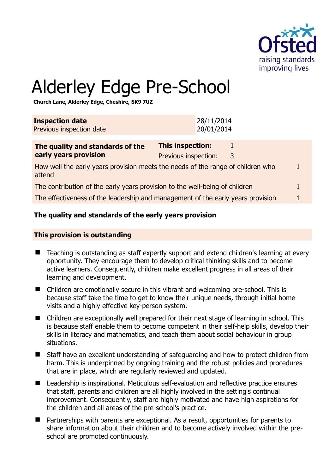

1

# Alderley Edge Pre-School

**Church Lane, Alderley Edge, Cheshire, SK9 7UZ** 

| <b>Inspection date</b><br>Previous inspection date                                        | 28/11/2014<br>20/01/2014                                  |              |
|-------------------------------------------------------------------------------------------|-----------------------------------------------------------|--------------|
| The quality and standards of the<br>early years provision                                 | <b>This inspection:</b><br>1<br>Previous inspection:<br>3 |              |
| How well the early years provision meets the needs of the range of children who<br>attend |                                                           | $\mathbf{1}$ |
| The contribution of the early years provision to the well-being of children               |                                                           |              |
| The effectiveness of the leadership and management of the early years provision           |                                                           |              |

# **The quality and standards of the early years provision**

#### **This provision is outstanding**

- Teaching is outstanding as staff expertly support and extend children's learning at every opportunity. They encourage them to develop critical thinking skills and to become active learners. Consequently, children make excellent progress in all areas of their learning and development.
- Children are emotionally secure in this vibrant and welcoming pre-school. This is because staff take the time to get to know their unique needs, through initial home visits and a highly effective key-person system.
- Children are exceptionally well prepared for their next stage of learning in school. This is because staff enable them to become competent in their self-help skills, develop their skills in literacy and mathematics, and teach them about social behaviour in group situations.
- Staff have an excellent understanding of safeguarding and how to protect children from harm. This is underpinned by ongoing training and the robust policies and procedures that are in place, which are regularly reviewed and updated.
- Leadership is inspirational. Meticulous self-evaluation and reflective practice ensures that staff, parents and children are all highly involved in the setting's continual improvement. Consequently, staff are highly motivated and have high aspirations for the children and all areas of the pre-school's practice.
- Partnerships with parents are exceptional. As a result, opportunities for parents to share information about their children and to become actively involved within the preschool are promoted continuously.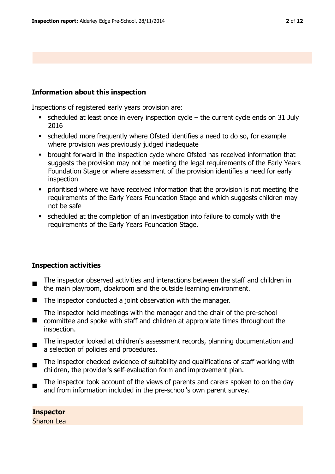#### **Information about this inspection**

Inspections of registered early years provision are:

- $\bullet$  scheduled at least once in every inspection cycle the current cycle ends on 31 July 2016
- scheduled more frequently where Ofsted identifies a need to do so, for example where provision was previously judged inadequate
- **•** brought forward in the inspection cycle where Ofsted has received information that suggests the provision may not be meeting the legal requirements of the Early Years Foundation Stage or where assessment of the provision identifies a need for early inspection
- prioritised where we have received information that the provision is not meeting the requirements of the Early Years Foundation Stage and which suggests children may not be safe
- scheduled at the completion of an investigation into failure to comply with the requirements of the Early Years Foundation Stage.

# **Inspection activities**

- The inspector observed activities and interactions between the staff and children in the main playroom, cloakroom and the outside learning environment.
- The inspector conducted a joint observation with the manager.

■ committee and spoke with staff and children at appropriate times throughout the The inspector held meetings with the manager and the chair of the pre-school inspection.

- $\blacksquare$ The inspector looked at children's assessment records, planning documentation and a selection of policies and procedures.
- $\blacksquare$ The inspector checked evidence of suitability and qualifications of staff working with children, the provider's self-evaluation form and improvement plan.
- The inspector took account of the views of parents and carers spoken to on the day and from information included in the pre-school's own parent survey.

**Inspector**  Sharon Lea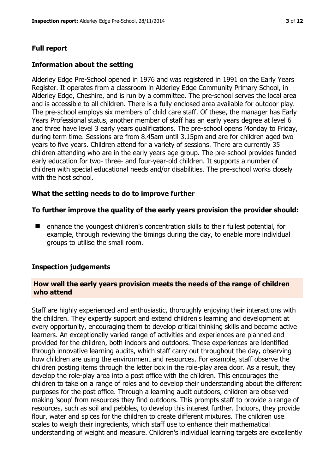# **Full report**

#### **Information about the setting**

Alderley Edge Pre-School opened in 1976 and was registered in 1991 on the Early Years Register. It operates from a classroom in Alderley Edge Community Primary School, in Alderley Edge, Cheshire, and is run by a committee. The pre-school serves the local area and is accessible to all children. There is a fully enclosed area available for outdoor play. The pre-school employs six members of child care staff. Of these, the manager has Early Years Professional status, another member of staff has an early years degree at level 6 and three have level 3 early years qualifications. The pre-school opens Monday to Friday, during term time. Sessions are from 8.45am until 3.15pm and are for children aged two years to five years. Children attend for a variety of sessions. There are currently 35 children attending who are in the early years age group. The pre-school provides funded early education for two- three- and four-year-old children. It supports a number of children with special educational needs and/or disabilities. The pre-school works closely with the host school.

#### **What the setting needs to do to improve further**

#### **To further improve the quality of the early years provision the provider should:**

■ enhance the youngest children's concentration skills to their fullest potential, for example, through reviewing the timings during the day, to enable more individual groups to utilise the small room.

#### **Inspection judgements**

#### **How well the early years provision meets the needs of the range of children who attend**

Staff are highly experienced and enthusiastic, thoroughly enjoying their interactions with the children. They expertly support and extend children's learning and development at every opportunity, encouraging them to develop critical thinking skills and become active learners. An exceptionally varied range of activities and experiences are planned and provided for the children, both indoors and outdoors. These experiences are identified through innovative learning audits, which staff carry out throughout the day, observing how children are using the environment and resources. For example, staff observe the children posting items through the letter box in the role-play area door. As a result, they develop the role-play area into a post office with the children. This encourages the children to take on a range of roles and to develop their understanding about the different purposes for the post office. Through a learning audit outdoors, children are observed making 'soup' from resources they find outdoors. This prompts staff to provide a range of resources, such as soil and pebbles, to develop this interest further. Indoors, they provide flour, water and spices for the children to create different mixtures. The children use scales to weigh their ingredients, which staff use to enhance their mathematical understanding of weight and measure. Children's individual learning targets are excellently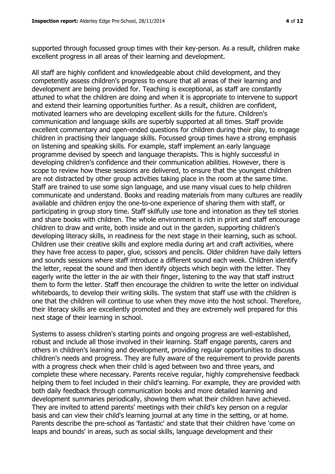supported through focussed group times with their key-person. As a result, children make excellent progress in all areas of their learning and development.

All staff are highly confident and knowledgeable about child development, and they competently assess children's progress to ensure that all areas of their learning and development are being provided for. Teaching is exceptional, as staff are constantly attuned to what the children are doing and when it is appropriate to intervene to support and extend their learning opportunities further. As a result, children are confident, motivated learners who are developing excellent skills for the future. Children's communication and language skills are superbly supported at all times. Staff provide excellent commentary and open-ended questions for children during their play, to engage children in practising their language skills. Focussed group times have a strong emphasis on listening and speaking skills. For example, staff implement an early language programme devised by speech and language therapists. This is highly successful in developing children's confidence and their communication abilities. However, there is scope to review how these sessions are delivered, to ensure that the youngest children are not distracted by other group activities taking place in the room at the same time. Staff are trained to use some sign language, and use many visual cues to help children communicate and understand. Books and reading materials from many cultures are readily available and children enjoy the one-to-one experience of sharing them with staff, or participating in group story time. Staff skilfully use tone and intonation as they tell stories and share books with children. The whole environment is rich in print and staff encourage children to draw and write, both inside and out in the garden, supporting children's developing literacy skills, in readiness for the next stage in their learning, such as school. Children use their creative skills and explore media during art and craft activities, where they have free access to paper, glue, scissors and pencils. Older children have daily letters and sounds sessions where staff introduce a different sound each week. Children identify the letter, repeat the sound and then identify objects which begin with the letter. They eagerly write the letter in the air with their finger, listening to the way that staff instruct them to form the letter. Staff then encourage the children to write the letter on individual whiteboards, to develop their writing skills. The system that staff use with the children is one that the children will continue to use when they move into the host school. Therefore, their literacy skills are excellently promoted and they are extremely well prepared for this next stage of their learning in school.

Systems to assess children's starting points and ongoing progress are well-established, robust and include all those involved in their learning. Staff engage parents, carers and others in children's learning and development, providing regular opportunities to discuss children's needs and progress. They are fully aware of the requirement to provide parents with a progress check when their child is aged between two and three years, and complete these where necessary. Parents receive regular, highly comprehensive feedback helping them to feel included in their child's learning. For example, they are provided with both daily feedback through communication books and more detailed learning and development summaries periodically, showing them what their children have achieved. They are invited to attend parents' meetings with their child's key person on a regular basis and can view their child's learning journal at any time in the setting, or at home. Parents describe the pre-school as 'fantastic' and state that their children have 'come on leaps and bounds' in areas, such as social skills, language development and their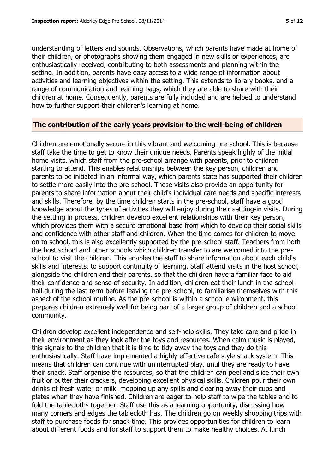understanding of letters and sounds. Observations, which parents have made at home of their children, or photographs showing them engaged in new skills or experiences, are enthusiastically received, contributing to both assessments and planning within the setting. In addition, parents have easy access to a wide range of information about activities and learning objectives within the setting. This extends to library books, and a range of communication and learning bags, which they are able to share with their children at home. Consequently, parents are fully included and are helped to understand how to further support their children's learning at home.

#### **The contribution of the early years provision to the well-being of children**

Children are emotionally secure in this vibrant and welcoming pre-school. This is because staff take the time to get to know their unique needs. Parents speak highly of the initial home visits, which staff from the pre-school arrange with parents, prior to children starting to attend. This enables relationships between the key person, children and parents to be initiated in an informal way, which parents state has supported their children to settle more easily into the pre-school. These visits also provide an opportunity for parents to share information about their child's individual care needs and specific interests and skills. Therefore, by the time children starts in the pre-school, staff have a good knowledge about the types of activities they will enjoy during their settling-in visits. During the settling in process, children develop excellent relationships with their key person, which provides them with a secure emotional base from which to develop their social skills and confidence with other staff and children. When the time comes for children to move on to school, this is also excellently supported by the pre-school staff. Teachers from both the host school and other schools which children transfer to are welcomed into the preschool to visit the children. This enables the staff to share information about each child's skills and interests, to support continuity of learning. Staff attend visits in the host school, alongside the children and their parents, so that the children have a familiar face to aid their confidence and sense of security. In addition, children eat their lunch in the school hall during the last term before leaving the pre-school, to familiarise themselves with this aspect of the school routine. As the pre-school is within a school environment, this prepares children extremely well for being part of a larger group of children and a school community.

Children develop excellent independence and self-help skills. They take care and pride in their environment as they look after the toys and resources. When calm music is played, this signals to the children that it is time to tidy away the toys and they do this enthusiastically. Staff have implemented a highly effective cafe style snack system. This means that children can continue with uninterrupted play, until they are ready to have their snack. Staff organise the resources, so that the children can peel and slice their own fruit or butter their crackers, developing excellent physical skills. Children pour their own drinks of fresh water or milk, mopping up any spills and clearing away their cups and plates when they have finished. Children are eager to help staff to wipe the tables and to fold the tablecloths together. Staff use this as a learning opportunity, discussing how many corners and edges the tablecloth has. The children go on weekly shopping trips with staff to purchase foods for snack time. This provides opportunities for children to learn about different foods and for staff to support them to make healthy choices. At lunch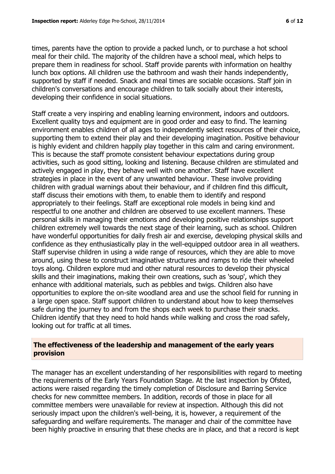times, parents have the option to provide a packed lunch, or to purchase a hot school meal for their child. The majority of the children have a school meal, which helps to prepare them in readiness for school. Staff provide parents with information on healthy lunch box options. All children use the bathroom and wash their hands independently, supported by staff if needed. Snack and meal times are sociable occasions. Staff join in children's conversations and encourage children to talk socially about their interests, developing their confidence in social situations.

Staff create a very inspiring and enabling learning environment, indoors and outdoors. Excellent quality toys and equipment are in good order and easy to find. The learning environment enables children of all ages to independently select resources of their choice, supporting them to extend their play and their developing imagination. Positive behaviour is highly evident and children happily play together in this calm and caring environment. This is because the staff promote consistent behaviour expectations during group activities, such as good sitting, looking and listening. Because children are stimulated and actively engaged in play, they behave well with one another. Staff have excellent strategies in place in the event of any unwanted behaviour. These involve providing children with gradual warnings about their behaviour, and if children find this difficult, staff discuss their emotions with them, to enable them to identify and respond appropriately to their feelings. Staff are exceptional role models in being kind and respectful to one another and children are observed to use excellent manners. These personal skills in managing their emotions and developing positive relationships support children extremely well towards the next stage of their learning, such as school. Children have wonderful opportunities for daily fresh air and exercise, developing physical skills and confidence as they enthusiastically play in the well-equipped outdoor area in all weathers. Staff supervise children in using a wide range of resources, which they are able to move around, using these to construct imaginative structures and ramps to ride their wheeled toys along. Children explore mud and other natural resources to develop their physical skills and their imaginations, making their own creations, such as 'soup', which they enhance with additional materials, such as pebbles and twigs. Children also have opportunities to explore the on-site woodland area and use the school field for running in a large open space. Staff support children to understand about how to keep themselves safe during the journey to and from the shops each week to purchase their snacks. Children identify that they need to hold hands while walking and cross the road safely, looking out for traffic at all times.

#### **The effectiveness of the leadership and management of the early years provision**

The manager has an excellent understanding of her responsibilities with regard to meeting the requirements of the Early Years Foundation Stage. At the last inspection by Ofsted, actions were raised regarding the timely completion of Disclosure and Barring Service checks for new committee members. In addition, records of those in place for all committee members were unavailable for review at inspection. Although this did not seriously impact upon the children's well-being, it is, however, a requirement of the safeguarding and welfare requirements. The manager and chair of the committee have been highly proactive in ensuring that these checks are in place, and that a record is kept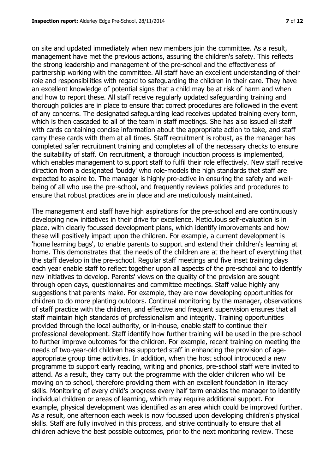on site and updated immediately when new members join the committee. As a result, management have met the previous actions, assuring the children's safety. This reflects the strong leadership and management of the pre-school and the effectiveness of partnership working with the committee. All staff have an excellent understanding of their role and responsibilities with regard to safeguarding the children in their care. They have an excellent knowledge of potential signs that a child may be at risk of harm and when and how to report these. All staff receive regularly updated safeguarding training and thorough policies are in place to ensure that correct procedures are followed in the event of any concerns. The designated safeguarding lead receives updated training every term, which is then cascaded to all of the team in staff meetings. She has also issued all staff with cards containing concise information about the appropriate action to take, and staff carry these cards with them at all times. Staff recruitment is robust, as the manager has completed safer recruitment training and completes all of the necessary checks to ensure the suitability of staff. On recruitment, a thorough induction process is implemented, which enables management to support staff to fulfil their role effectively. New staff receive direction from a designated 'buddy' who role-models the high standards that staff are expected to aspire to. The manager is highly pro-active in ensuring the safety and wellbeing of all who use the pre-school, and frequently reviews policies and procedures to ensure that robust practices are in place and are meticulously maintained.

The management and staff have high aspirations for the pre-school and are continuously developing new initiatives in their drive for excellence. Meticulous self-evaluation is in place, with clearly focussed development plans, which identify improvements and how these will positively impact upon the children. For example, a current development is 'home learning bags', to enable parents to support and extend their children's learning at home. This demonstrates that the needs of the children are at the heart of everything that the staff develop in the pre-school. Regular staff meetings and five inset training days each year enable staff to reflect together upon all aspects of the pre-school and to identify new initiatives to develop. Parents' views on the quality of the provision are sought through open days, questionnaires and committee meetings. Staff value highly any suggestions that parents make. For example, they are now developing opportunities for children to do more planting outdoors. Continual monitoring by the manager, observations of staff practice with the children, and effective and frequent supervision ensures that all staff maintain high standards of professionalism and integrity. Training opportunities provided through the local authority, or in-house, enable staff to continue their professional development. Staff identify how further training will be used in the pre-school to further improve outcomes for the children. For example, recent training on meeting the needs of two-year-old children has supported staff in enhancing the provision of ageappropriate group time activities. In addition, when the host school introduced a new programme to support early reading, writing and phonics, pre-school staff were invited to attend. As a result, they carry out the programme with the older children who will be moving on to school, therefore providing them with an excellent foundation in literacy skills. Monitoring of every child's progress every half term enables the manager to identify individual children or areas of learning, which may require additional support. For example, physical development was identified as an area which could be improved further. As a result, one afternoon each week is now focussed upon developing children's physical skills. Staff are fully involved in this process, and strive continually to ensure that all children achieve the best possible outcomes, prior to the next monitoring review. These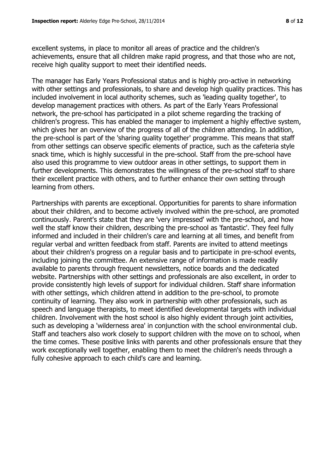excellent systems, in place to monitor all areas of practice and the children's achievements, ensure that all children make rapid progress, and that those who are not, receive high quality support to meet their identified needs.

The manager has Early Years Professional status and is highly pro-active in networking with other settings and professionals, to share and develop high quality practices. This has included involvement in local authority schemes, such as 'leading quality together', to develop management practices with others. As part of the Early Years Professional network, the pre-school has participated in a pilot scheme regarding the tracking of children's progress. This has enabled the manager to implement a highly effective system, which gives her an overview of the progress of all of the children attending. In addition, the pre-school is part of the 'sharing quality together' programme. This means that staff from other settings can observe specific elements of practice, such as the cafeteria style snack time, which is highly successful in the pre-school. Staff from the pre-school have also used this programme to view outdoor areas in other settings, to support them in further developments. This demonstrates the willingness of the pre-school staff to share their excellent practice with others, and to further enhance their own setting through learning from others.

Partnerships with parents are exceptional. Opportunities for parents to share information about their children, and to become actively involved within the pre-school, are promoted continuously. Parent's state that they are 'very impressed' with the pre-school, and how well the staff know their children, describing the pre-school as 'fantastic'. They feel fully informed and included in their children's care and learning at all times, and benefit from regular verbal and written feedback from staff. Parents are invited to attend meetings about their children's progress on a regular basis and to participate in pre-school events, including joining the committee. An extensive range of information is made readily available to parents through frequent newsletters, notice boards and the dedicated website. Partnerships with other settings and professionals are also excellent, in order to provide consistently high levels of support for individual children. Staff share information with other settings, which children attend in addition to the pre-school, to promote continuity of learning. They also work in partnership with other professionals, such as speech and language therapists, to meet identified developmental targets with individual children. Involvement with the host school is also highly evident through joint activities, such as developing a 'wilderness area' in conjunction with the school environmental club. Staff and teachers also work closely to support children with the move on to school, when the time comes. These positive links with parents and other professionals ensure that they work exceptionally well together, enabling them to meet the children's needs through a fully cohesive approach to each child's care and learning.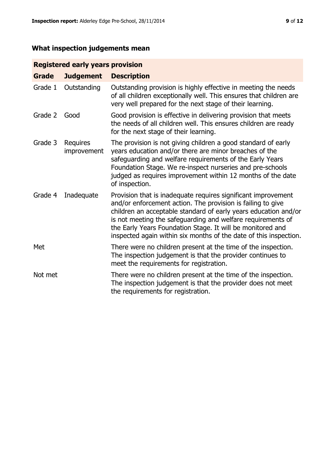# **What inspection judgements mean**

# **Registered early years provision**

| <b>Grade</b> | <b>Judgement</b>               | <b>Description</b>                                                                                                                                                                                                                                                                                                                                                                                |
|--------------|--------------------------------|---------------------------------------------------------------------------------------------------------------------------------------------------------------------------------------------------------------------------------------------------------------------------------------------------------------------------------------------------------------------------------------------------|
| Grade 1      | Outstanding                    | Outstanding provision is highly effective in meeting the needs<br>of all children exceptionally well. This ensures that children are<br>very well prepared for the next stage of their learning.                                                                                                                                                                                                  |
| Grade 2      | Good                           | Good provision is effective in delivering provision that meets<br>the needs of all children well. This ensures children are ready<br>for the next stage of their learning.                                                                                                                                                                                                                        |
| Grade 3      | <b>Requires</b><br>improvement | The provision is not giving children a good standard of early<br>years education and/or there are minor breaches of the<br>safeguarding and welfare requirements of the Early Years<br>Foundation Stage. We re-inspect nurseries and pre-schools<br>judged as requires improvement within 12 months of the date<br>of inspection.                                                                 |
| Grade 4      | Inadequate                     | Provision that is inadequate requires significant improvement<br>and/or enforcement action. The provision is failing to give<br>children an acceptable standard of early years education and/or<br>is not meeting the safeguarding and welfare requirements of<br>the Early Years Foundation Stage. It will be monitored and<br>inspected again within six months of the date of this inspection. |
| Met          |                                | There were no children present at the time of the inspection.<br>The inspection judgement is that the provider continues to<br>meet the requirements for registration.                                                                                                                                                                                                                            |
| Not met      |                                | There were no children present at the time of the inspection.<br>The inspection judgement is that the provider does not meet<br>the requirements for registration.                                                                                                                                                                                                                                |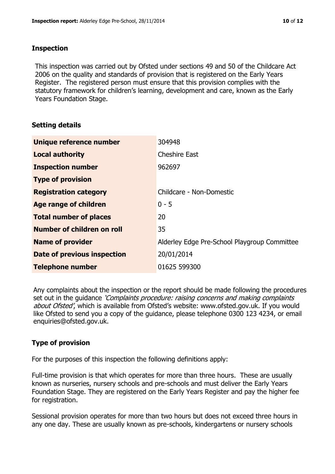#### **Inspection**

This inspection was carried out by Ofsted under sections 49 and 50 of the Childcare Act 2006 on the quality and standards of provision that is registered on the Early Years Register. The registered person must ensure that this provision complies with the statutory framework for children's learning, development and care, known as the Early Years Foundation Stage.

# **Setting details**

| Unique reference number           | 304948                                       |
|-----------------------------------|----------------------------------------------|
| <b>Local authority</b>            | <b>Cheshire East</b>                         |
| <b>Inspection number</b>          | 962697                                       |
| <b>Type of provision</b>          |                                              |
| <b>Registration category</b>      | Childcare - Non-Domestic                     |
| Age range of children             | $0 - 5$                                      |
| <b>Total number of places</b>     | 20                                           |
| <b>Number of children on roll</b> | 35                                           |
| <b>Name of provider</b>           | Alderley Edge Pre-School Playgroup Committee |
| Date of previous inspection       | 20/01/2014                                   |
| <b>Telephone number</b>           | 01625 599300                                 |

Any complaints about the inspection or the report should be made following the procedures set out in the guidance *'Complaints procedure: raising concerns and making complaints* about Ofsted', which is available from Ofsted's website: www.ofsted.gov.uk. If you would like Ofsted to send you a copy of the guidance, please telephone 0300 123 4234, or email enquiries@ofsted.gov.uk.

# **Type of provision**

For the purposes of this inspection the following definitions apply:

Full-time provision is that which operates for more than three hours. These are usually known as nurseries, nursery schools and pre-schools and must deliver the Early Years Foundation Stage. They are registered on the Early Years Register and pay the higher fee for registration.

Sessional provision operates for more than two hours but does not exceed three hours in any one day. These are usually known as pre-schools, kindergartens or nursery schools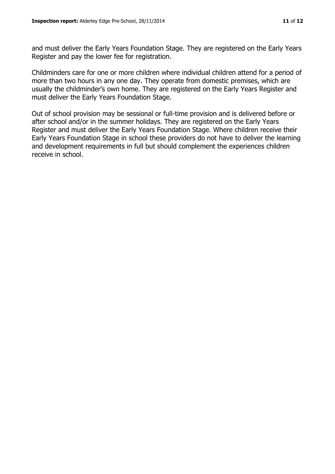and must deliver the Early Years Foundation Stage. They are registered on the Early Years Register and pay the lower fee for registration.

Childminders care for one or more children where individual children attend for a period of more than two hours in any one day. They operate from domestic premises, which are usually the childminder's own home. They are registered on the Early Years Register and must deliver the Early Years Foundation Stage.

Out of school provision may be sessional or full-time provision and is delivered before or after school and/or in the summer holidays. They are registered on the Early Years Register and must deliver the Early Years Foundation Stage. Where children receive their Early Years Foundation Stage in school these providers do not have to deliver the learning and development requirements in full but should complement the experiences children receive in school.